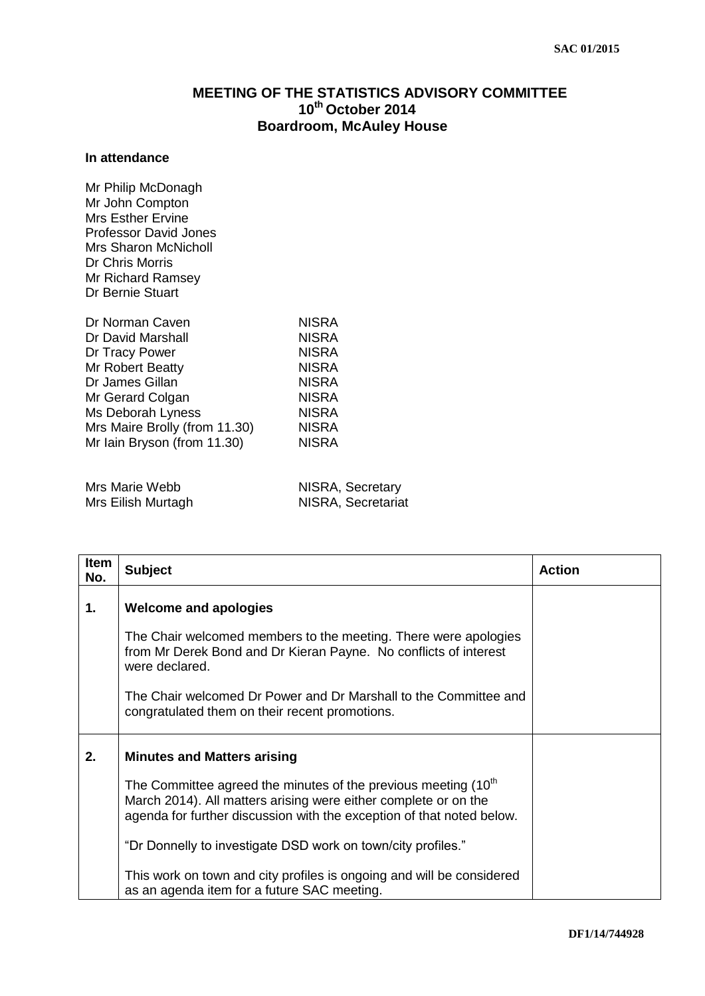## **MEETING OF THE STATISTICS ADVISORY COMMITTEE 10th October 2014 Boardroom, McAuley House**

## **In attendance**

Mr Philip McDonagh Mr John Compton Mrs Esther Ervine Professor David Jones Mrs Sharon McNicholl Dr Chris Morris Mr Richard Ramsey Dr Bernie Stuart

| Dr Norman Caven               | <b>NISRA</b> |
|-------------------------------|--------------|
| Dr David Marshall             | <b>NISRA</b> |
| Dr Tracy Power                | <b>NISRA</b> |
| Mr Robert Beatty              | <b>NISRA</b> |
| Dr James Gillan               | <b>NISRA</b> |
| Mr Gerard Colgan              | <b>NISRA</b> |
| Ms Deborah Lyness             | <b>NISRA</b> |
| Mrs Maire Brolly (from 11.30) | <b>NISRA</b> |
| Mr Iain Bryson (from 11.30)   | <b>NISRA</b> |
|                               |              |

| Mrs Marie Webb     | NISRA, Secretary   |
|--------------------|--------------------|
| Mrs Eilish Murtagh | NISRA, Secretariat |

| Item<br>No. | <b>Subject</b>                                                                                                                                                                                                         | <b>Action</b> |
|-------------|------------------------------------------------------------------------------------------------------------------------------------------------------------------------------------------------------------------------|---------------|
| 1.          | <b>Welcome and apologies</b>                                                                                                                                                                                           |               |
|             | The Chair welcomed members to the meeting. There were apologies<br>from Mr Derek Bond and Dr Kieran Payne. No conflicts of interest<br>were declared.                                                                  |               |
|             | The Chair welcomed Dr Power and Dr Marshall to the Committee and<br>congratulated them on their recent promotions.                                                                                                     |               |
| 2.          | <b>Minutes and Matters arising</b>                                                                                                                                                                                     |               |
|             | The Committee agreed the minutes of the previous meeting (10 <sup>th</sup><br>March 2014). All matters arising were either complete or on the<br>agenda for further discussion with the exception of that noted below. |               |
|             | "Dr Donnelly to investigate DSD work on town/city profiles."                                                                                                                                                           |               |
|             | This work on town and city profiles is ongoing and will be considered<br>as an agenda item for a future SAC meeting.                                                                                                   |               |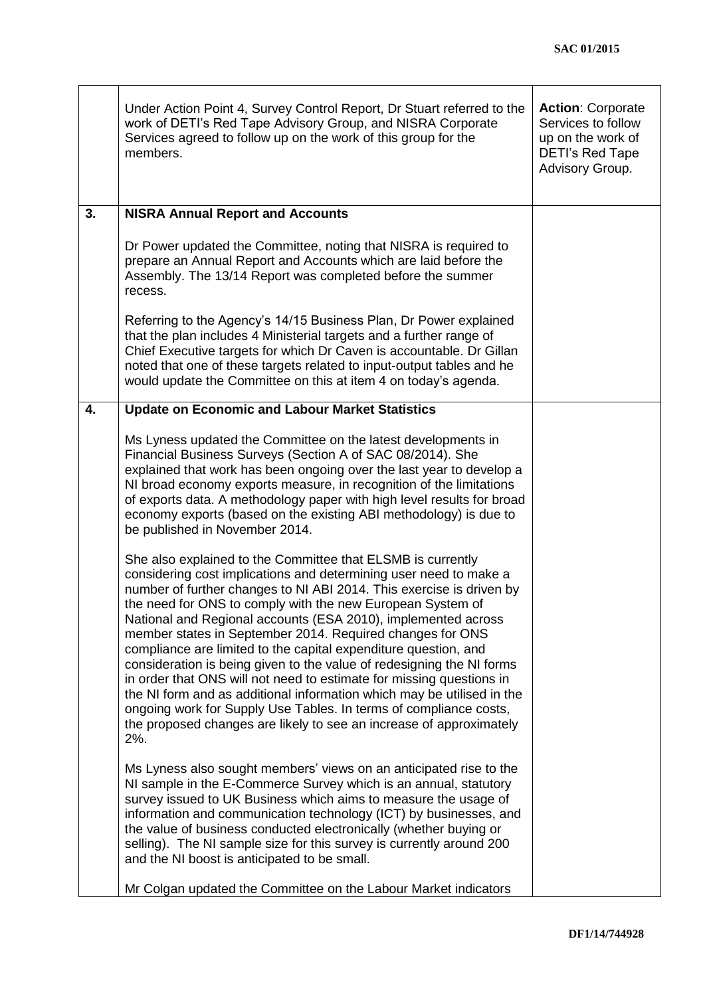|    | Under Action Point 4, Survey Control Report, Dr Stuart referred to the<br>work of DETI's Red Tape Advisory Group, and NISRA Corporate<br>Services agreed to follow up on the work of this group for the<br>members.                                                                                                                                                                                                                                                                                                                                                                                                                                                                                                                                                                                                                                      | <b>Action: Corporate</b><br>Services to follow<br>up on the work of<br><b>DETI's Red Tape</b><br>Advisory Group. |
|----|----------------------------------------------------------------------------------------------------------------------------------------------------------------------------------------------------------------------------------------------------------------------------------------------------------------------------------------------------------------------------------------------------------------------------------------------------------------------------------------------------------------------------------------------------------------------------------------------------------------------------------------------------------------------------------------------------------------------------------------------------------------------------------------------------------------------------------------------------------|------------------------------------------------------------------------------------------------------------------|
| 3. | <b>NISRA Annual Report and Accounts</b>                                                                                                                                                                                                                                                                                                                                                                                                                                                                                                                                                                                                                                                                                                                                                                                                                  |                                                                                                                  |
|    | Dr Power updated the Committee, noting that NISRA is required to<br>prepare an Annual Report and Accounts which are laid before the<br>Assembly. The 13/14 Report was completed before the summer<br>recess.                                                                                                                                                                                                                                                                                                                                                                                                                                                                                                                                                                                                                                             |                                                                                                                  |
|    | Referring to the Agency's 14/15 Business Plan, Dr Power explained<br>that the plan includes 4 Ministerial targets and a further range of<br>Chief Executive targets for which Dr Caven is accountable. Dr Gillan<br>noted that one of these targets related to input-output tables and he<br>would update the Committee on this at item 4 on today's agenda.                                                                                                                                                                                                                                                                                                                                                                                                                                                                                             |                                                                                                                  |
| 4. | <b>Update on Economic and Labour Market Statistics</b>                                                                                                                                                                                                                                                                                                                                                                                                                                                                                                                                                                                                                                                                                                                                                                                                   |                                                                                                                  |
|    | Ms Lyness updated the Committee on the latest developments in<br>Financial Business Surveys (Section A of SAC 08/2014). She<br>explained that work has been ongoing over the last year to develop a<br>NI broad economy exports measure, in recognition of the limitations<br>of exports data. A methodology paper with high level results for broad<br>economy exports (based on the existing ABI methodology) is due to<br>be published in November 2014.                                                                                                                                                                                                                                                                                                                                                                                              |                                                                                                                  |
|    | She also explained to the Committee that ELSMB is currently<br>considering cost implications and determining user need to make a<br>number of further changes to NI ABI 2014. This exercise is driven by<br>the need for ONS to comply with the new European System of<br>National and Regional accounts (ESA 2010), implemented across<br>member states in September 2014. Required changes for ONS<br>compliance are limited to the capital expenditure question, and<br>consideration is being given to the value of redesigning the NI forms<br>in order that ONS will not need to estimate for missing questions in<br>the NI form and as additional information which may be utilised in the<br>ongoing work for Supply Use Tables. In terms of compliance costs,<br>the proposed changes are likely to see an increase of approximately<br>$2%$ . |                                                                                                                  |
|    | Ms Lyness also sought members' views on an anticipated rise to the<br>NI sample in the E-Commerce Survey which is an annual, statutory<br>survey issued to UK Business which aims to measure the usage of<br>information and communication technology (ICT) by businesses, and<br>the value of business conducted electronically (whether buying or<br>selling). The NI sample size for this survey is currently around 200<br>and the NI boost is anticipated to be small.                                                                                                                                                                                                                                                                                                                                                                              |                                                                                                                  |
|    | Mr Colgan updated the Committee on the Labour Market indicators                                                                                                                                                                                                                                                                                                                                                                                                                                                                                                                                                                                                                                                                                                                                                                                          |                                                                                                                  |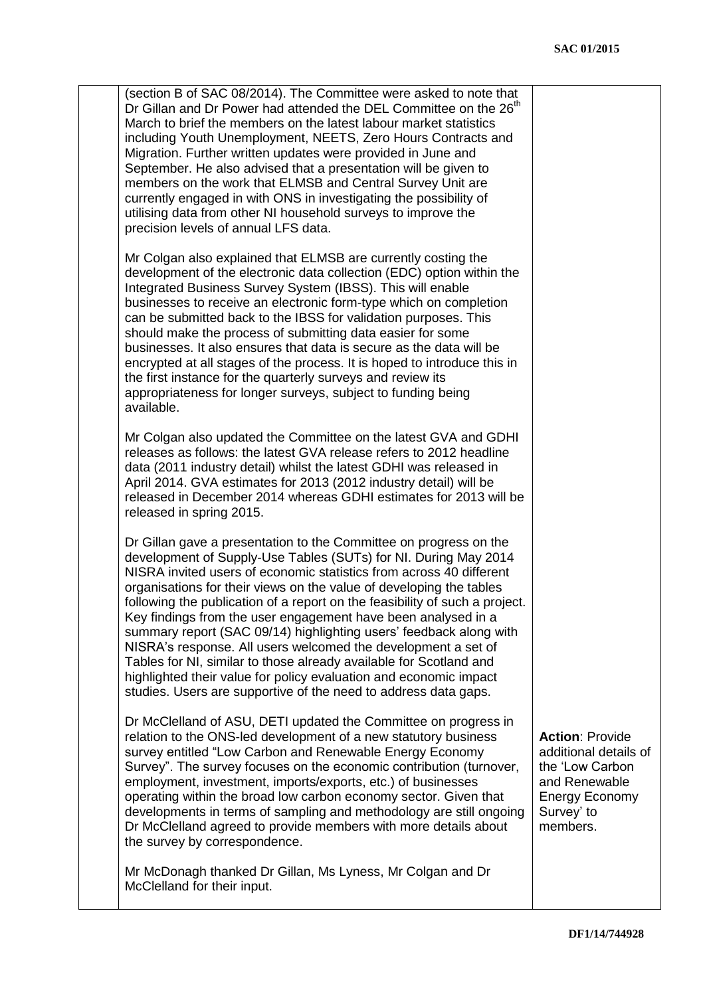| (section B of SAC 08/2014). The Committee were asked to note that<br>Dr Gillan and Dr Power had attended the DEL Committee on the 26 <sup>th</sup><br>March to brief the members on the latest labour market statistics<br>including Youth Unemployment, NEETS, Zero Hours Contracts and<br>Migration. Further written updates were provided in June and<br>September. He also advised that a presentation will be given to<br>members on the work that ELMSB and Central Survey Unit are<br>currently engaged in with ONS in investigating the possibility of<br>utilising data from other NI household surveys to improve the<br>precision levels of annual LFS data.                                                                                                                 |                                                                                                                                 |
|-----------------------------------------------------------------------------------------------------------------------------------------------------------------------------------------------------------------------------------------------------------------------------------------------------------------------------------------------------------------------------------------------------------------------------------------------------------------------------------------------------------------------------------------------------------------------------------------------------------------------------------------------------------------------------------------------------------------------------------------------------------------------------------------|---------------------------------------------------------------------------------------------------------------------------------|
| Mr Colgan also explained that ELMSB are currently costing the<br>development of the electronic data collection (EDC) option within the<br>Integrated Business Survey System (IBSS). This will enable<br>businesses to receive an electronic form-type which on completion<br>can be submitted back to the IBSS for validation purposes. This<br>should make the process of submitting data easier for some<br>businesses. It also ensures that data is secure as the data will be<br>encrypted at all stages of the process. It is hoped to introduce this in<br>the first instance for the quarterly surveys and review its<br>appropriateness for longer surveys, subject to funding being<br>available.                                                                              |                                                                                                                                 |
| Mr Colgan also updated the Committee on the latest GVA and GDHI<br>releases as follows: the latest GVA release refers to 2012 headline<br>data (2011 industry detail) whilst the latest GDHI was released in<br>April 2014. GVA estimates for 2013 (2012 industry detail) will be<br>released in December 2014 whereas GDHI estimates for 2013 will be<br>released in spring 2015.                                                                                                                                                                                                                                                                                                                                                                                                      |                                                                                                                                 |
| Dr Gillan gave a presentation to the Committee on progress on the<br>development of Supply-Use Tables (SUTs) for NI. During May 2014<br>NISRA invited users of economic statistics from across 40 different<br>organisations for their views on the value of developing the tables<br>following the publication of a report on the feasibility of such a project.<br>Key findings from the user engagement have been analysed in a<br>summary report (SAC 09/14) highlighting users' feedback along with<br>NISRA's response. All users welcomed the development a set of<br>Tables for NI, similar to those already available for Scotland and<br>highlighted their value for policy evaluation and economic impact<br>studies. Users are supportive of the need to address data gaps. |                                                                                                                                 |
| Dr McClelland of ASU, DETI updated the Committee on progress in<br>relation to the ONS-led development of a new statutory business<br>survey entitled "Low Carbon and Renewable Energy Economy<br>Survey". The survey focuses on the economic contribution (turnover,<br>employment, investment, imports/exports, etc.) of businesses<br>operating within the broad low carbon economy sector. Given that<br>developments in terms of sampling and methodology are still ongoing<br>Dr McClelland agreed to provide members with more details about<br>the survey by correspondence.                                                                                                                                                                                                    | <b>Action: Provide</b><br>additional details of<br>the 'Low Carbon<br>and Renewable<br>Energy Economy<br>Survey' to<br>members. |
| Mr McDonagh thanked Dr Gillan, Ms Lyness, Mr Colgan and Dr<br>McClelland for their input.                                                                                                                                                                                                                                                                                                                                                                                                                                                                                                                                                                                                                                                                                               |                                                                                                                                 |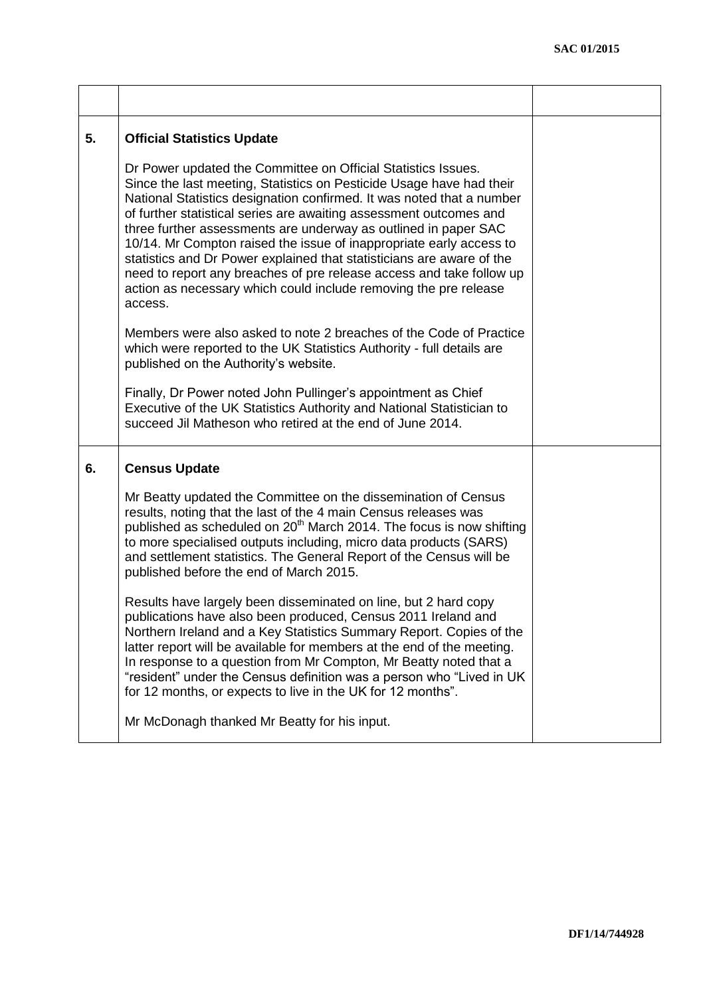| 5. | <b>Official Statistics Update</b>                                                                                                                                                                                                                                                                                                                                                                                                                                                                                                                                                                                                                              |  |
|----|----------------------------------------------------------------------------------------------------------------------------------------------------------------------------------------------------------------------------------------------------------------------------------------------------------------------------------------------------------------------------------------------------------------------------------------------------------------------------------------------------------------------------------------------------------------------------------------------------------------------------------------------------------------|--|
|    | Dr Power updated the Committee on Official Statistics Issues.<br>Since the last meeting, Statistics on Pesticide Usage have had their<br>National Statistics designation confirmed. It was noted that a number<br>of further statistical series are awaiting assessment outcomes and<br>three further assessments are underway as outlined in paper SAC<br>10/14. Mr Compton raised the issue of inappropriate early access to<br>statistics and Dr Power explained that statisticians are aware of the<br>need to report any breaches of pre release access and take follow up<br>action as necessary which could include removing the pre release<br>access. |  |
|    | Members were also asked to note 2 breaches of the Code of Practice<br>which were reported to the UK Statistics Authority - full details are<br>published on the Authority's website.                                                                                                                                                                                                                                                                                                                                                                                                                                                                           |  |
|    | Finally, Dr Power noted John Pullinger's appointment as Chief<br>Executive of the UK Statistics Authority and National Statistician to<br>succeed Jil Matheson who retired at the end of June 2014.                                                                                                                                                                                                                                                                                                                                                                                                                                                            |  |
| 6. | <b>Census Update</b>                                                                                                                                                                                                                                                                                                                                                                                                                                                                                                                                                                                                                                           |  |
|    | Mr Beatty updated the Committee on the dissemination of Census<br>results, noting that the last of the 4 main Census releases was<br>published as scheduled on 20 <sup>th</sup> March 2014. The focus is now shifting<br>to more specialised outputs including, micro data products (SARS)<br>and settlement statistics. The General Report of the Census will be<br>published before the end of March 2015.                                                                                                                                                                                                                                                   |  |
|    | Results have largely been disseminated on line, but 2 hard copy<br>publications have also been produced, Census 2011 Ireland and<br>Northern Ireland and a Key Statistics Summary Report. Copies of the<br>latter report will be available for members at the end of the meeting.<br>In response to a question from Mr Compton, Mr Beatty noted that a<br>"resident" under the Census definition was a person who "Lived in UK<br>for 12 months, or expects to live in the UK for 12 months".                                                                                                                                                                  |  |
|    | Mr McDonagh thanked Mr Beatty for his input.                                                                                                                                                                                                                                                                                                                                                                                                                                                                                                                                                                                                                   |  |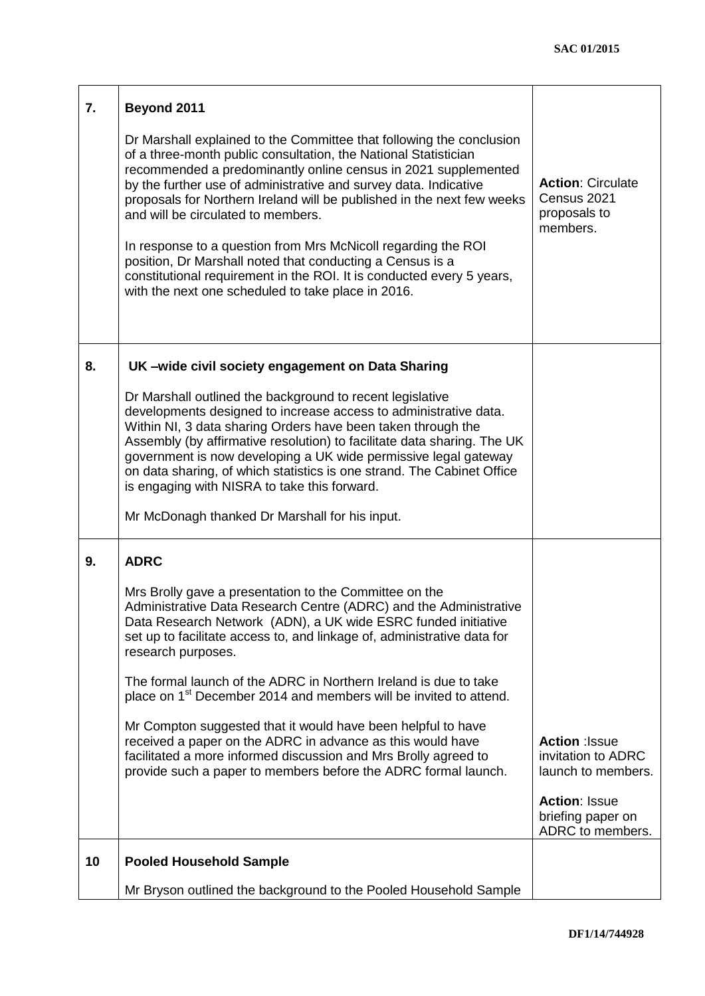| 7. | Beyond 2011                                                                                                                                                                                                                                                                                                                                                                                                                                                                                                                                                                                                                                                |                                                                     |
|----|------------------------------------------------------------------------------------------------------------------------------------------------------------------------------------------------------------------------------------------------------------------------------------------------------------------------------------------------------------------------------------------------------------------------------------------------------------------------------------------------------------------------------------------------------------------------------------------------------------------------------------------------------------|---------------------------------------------------------------------|
|    | Dr Marshall explained to the Committee that following the conclusion<br>of a three-month public consultation, the National Statistician<br>recommended a predominantly online census in 2021 supplemented<br>by the further use of administrative and survey data. Indicative<br>proposals for Northern Ireland will be published in the next few weeks<br>and will be circulated to members.<br>In response to a question from Mrs McNicoll regarding the ROI<br>position, Dr Marshall noted that conducting a Census is a<br>constitutional requirement in the ROI. It is conducted every 5 years,<br>with the next one scheduled to take place in 2016. | <b>Action: Circulate</b><br>Census 2021<br>proposals to<br>members. |
| 8. | UK-wide civil society engagement on Data Sharing                                                                                                                                                                                                                                                                                                                                                                                                                                                                                                                                                                                                           |                                                                     |
|    | Dr Marshall outlined the background to recent legislative<br>developments designed to increase access to administrative data.<br>Within NI, 3 data sharing Orders have been taken through the<br>Assembly (by affirmative resolution) to facilitate data sharing. The UK<br>government is now developing a UK wide permissive legal gateway<br>on data sharing, of which statistics is one strand. The Cabinet Office<br>is engaging with NISRA to take this forward.<br>Mr McDonagh thanked Dr Marshall for his input.                                                                                                                                    |                                                                     |
| 9. | <b>ADRC</b>                                                                                                                                                                                                                                                                                                                                                                                                                                                                                                                                                                                                                                                |                                                                     |
|    | Mrs Brolly gave a presentation to the Committee on the<br>Administrative Data Research Centre (ADRC) and the Administrative<br>Data Research Network (ADN), a UK wide ESRC funded initiative<br>set up to facilitate access to, and linkage of, administrative data for<br>research purposes.                                                                                                                                                                                                                                                                                                                                                              |                                                                     |
|    | The formal launch of the ADRC in Northern Ireland is due to take<br>place on 1 <sup>st</sup> December 2014 and members will be invited to attend.                                                                                                                                                                                                                                                                                                                                                                                                                                                                                                          |                                                                     |
|    | Mr Compton suggested that it would have been helpful to have<br>received a paper on the ADRC in advance as this would have<br>facilitated a more informed discussion and Mrs Brolly agreed to<br>provide such a paper to members before the ADRC formal launch.                                                                                                                                                                                                                                                                                                                                                                                            | Action : Issue<br>invitation to ADRC<br>launch to members.          |
|    |                                                                                                                                                                                                                                                                                                                                                                                                                                                                                                                                                                                                                                                            | <b>Action: Issue</b><br>briefing paper on<br>ADRC to members.       |
| 10 | <b>Pooled Household Sample</b>                                                                                                                                                                                                                                                                                                                                                                                                                                                                                                                                                                                                                             |                                                                     |
|    | Mr Bryson outlined the background to the Pooled Household Sample                                                                                                                                                                                                                                                                                                                                                                                                                                                                                                                                                                                           |                                                                     |